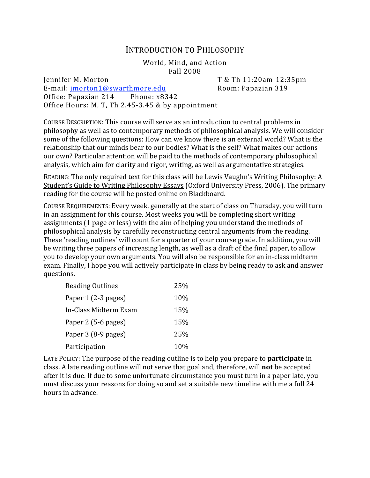## INTRODUCTION
TO
PHILOSOPHY

World,
Mind,
and
Action Fall
2008

Jennifer
M.
Morton T
&
Th
11:20am‐12:35pm E-mail: imorton1@swarthmore.edu Room: Papazian 319 Office: Papazian
214 Phone:
x8342 Office Hours: M, T, Th 2.45-3.45 & by appointment

COURSE DESCRIPTION: This course will serve as an introduction to central problems in philosophy
as
well
as
to
contemporary
methods
of
philosophical
analysis.
We
will
consider some of the following questions: How can we know there is an external world? What is the relationship that our minds bear to our bodies? What is the self? What makes our actions our
own?
Particular
attention
will
be
paid
to
the
methods
of
contemporary
philosophical analysis,
which
aim
for
clarity
and
rigor,
writing,
as
well
as
argumentative
strategies.

READING: The only required text for this class will be Lewis Vaughn's Writing Philosophy: A Student's Guide to Writing Philosophy Essays (Oxford University Press, 2006). The primary reading
for
the
course
will
be
posted
online
on
Blackboard.

COURSE REQUIREMENTS: Every week, generally at the start of class on Thursday, you will turn in
an
assignment
for
this
course.
Most
weeks
you
will
be
completing
short
writing assignments
(1
page
or
less)
with
the
aim
of
helping
you
understand
the
methods
of philosophical
analysis
by
carefully
reconstructing
central
arguments
from
the
reading. These 'reading outlines' will count for a quarter of your course grade. In addition, you will be writing three papers of increasing length, as well as a draft of the final paper, to allow you
to
develop
your
own
arguments.
You
will
also
be
responsible
for
an
in‐class
midterm exam.
Finally,
I
hope
you
will
actively
participate
in
class
by
being
ready
to
ask
and
answer questions.

| <b>Reading Outlines</b> | 25%        |
|-------------------------|------------|
| Paper 1 (2-3 pages)     | 10%        |
| In-Class Midterm Exam   | 15%        |
| Paper 2 (5-6 pages)     | 15%        |
| Paper 3 (8-9 pages)     | 25%        |
| Participation           | <b>10%</b> |

LATE POLICY: The purpose of the reading outline is to help you prepare to **participate** in class.
A
late
reading
outline
will
not
serve
that
goal
and,
therefore,
will **not**be
accepted after
it
is
due.
If
due
to
some
unfortunate
circumstance
you
must
turn
in
a
paper
late,
you must discuss your reasons for doing so and set a suitable new timeline with me a full 24 hours
in
advance.